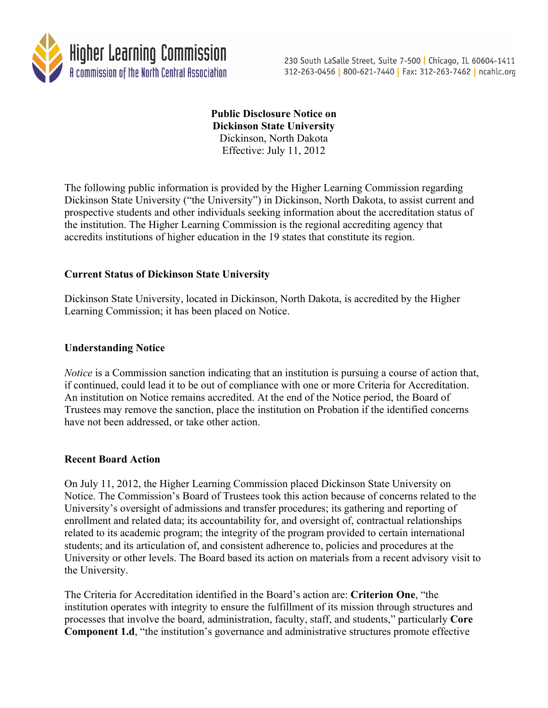

**Public Disclosure Notice on Dickinson State University** Dickinson, North Dakota Effective: July 11, 2012

The following public information is provided by the Higher Learning Commission regarding Dickinson State University ("the University") in Dickinson, North Dakota, to assist current and prospective students and other individuals seeking information about the accreditation status of the institution. The Higher Learning Commission is the regional accrediting agency that accredits institutions of higher education in the 19 states that constitute its region.

## **Current Status of Dickinson State University**

Dickinson State University, located in Dickinson, North Dakota, is accredited by the Higher Learning Commission; it has been placed on Notice.

## **Understanding Notice**

*Notice* is a Commission sanction indicating that an institution is pursuing a course of action that, if continued, could lead it to be out of compliance with one or more Criteria for Accreditation. An institution on Notice remains accredited. At the end of the Notice period, the Board of Trustees may remove the sanction, place the institution on Probation if the identified concerns have not been addressed, or take other action.

## **Recent Board Action**

On July 11, 2012, the Higher Learning Commission placed Dickinson State University on Notice. The Commission's Board of Trustees took this action because of concerns related to the University's oversight of admissions and transfer procedures; its gathering and reporting of enrollment and related data; its accountability for, and oversight of, contractual relationships related to its academic program; the integrity of the program provided to certain international students; and its articulation of, and consistent adherence to, policies and procedures at the University or other levels. The Board based its action on materials from a recent advisory visit to the University.

The Criteria for Accreditation identified in the Board's action are: **Criterion One**, "the institution operates with integrity to ensure the fulfillment of its mission through structures and processes that involve the board, administration, faculty, staff, and students," particularly **Core Component 1.d**, "the institution's governance and administrative structures promote effective